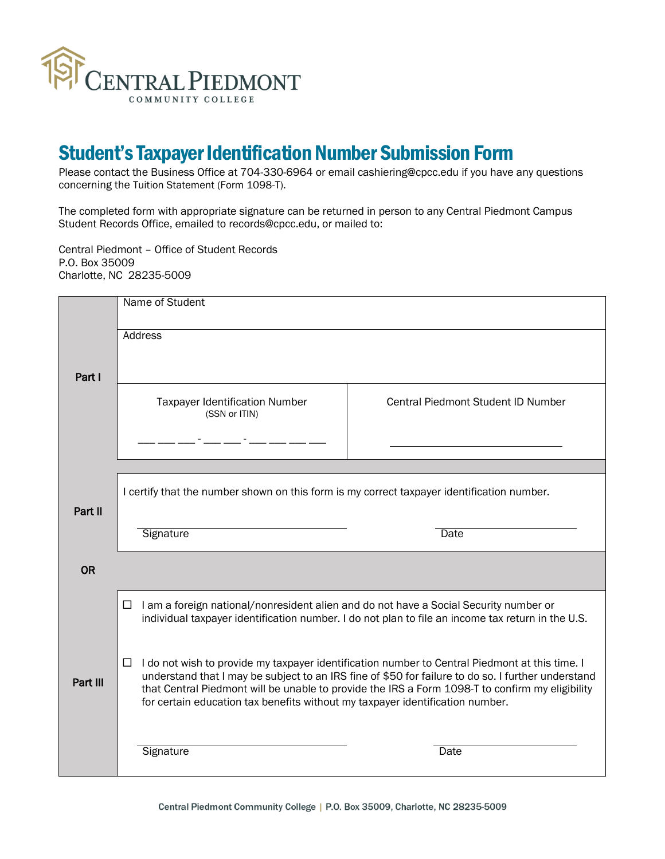

# Student's Taxpayer Identification Number Submission Form

Please contact the Business Office at 704-330-6964 or email cashiering@cpcc.edu if you have any questions concerning the Tuition Statement (Form 1098-T).

The completed form with appropriate signature can be returned in person to any Central Piedmont Campus Student Records Office, emailed to records@cpcc.edu, or mailed to:

Central Piedmont – Office of Student Records P.O. Box 35009 Charlotte, NC 28235-5009

|           | Name of Student                                                                                                                                                                                                                                                                                                                                                                               |                                           |
|-----------|-----------------------------------------------------------------------------------------------------------------------------------------------------------------------------------------------------------------------------------------------------------------------------------------------------------------------------------------------------------------------------------------------|-------------------------------------------|
| Part I    | <b>Address</b>                                                                                                                                                                                                                                                                                                                                                                                |                                           |
|           |                                                                                                                                                                                                                                                                                                                                                                                               |                                           |
|           | <b>Taxpayer Identification Number</b><br>(SSN or ITIN)                                                                                                                                                                                                                                                                                                                                        | <b>Central Piedmont Student ID Number</b> |
|           |                                                                                                                                                                                                                                                                                                                                                                                               |                                           |
|           |                                                                                                                                                                                                                                                                                                                                                                                               |                                           |
| Part II   | I certify that the number shown on this form is my correct taxpayer identification number.                                                                                                                                                                                                                                                                                                    |                                           |
|           | Signature                                                                                                                                                                                                                                                                                                                                                                                     | Date                                      |
| <b>OR</b> |                                                                                                                                                                                                                                                                                                                                                                                               |                                           |
|           | I am a foreign national/nonresident alien and do not have a Social Security number or<br>□<br>individual taxpayer identification number. I do not plan to file an income tax return in the U.S.                                                                                                                                                                                               |                                           |
| Part III  | I do not wish to provide my taxpayer identification number to Central Piedmont at this time. I<br>⊔<br>understand that I may be subject to an IRS fine of \$50 for failure to do so. I further understand<br>that Central Piedmont will be unable to provide the IRS a Form 1098-T to confirm my eligibility<br>for certain education tax benefits without my taxpayer identification number. |                                           |
|           | Signature                                                                                                                                                                                                                                                                                                                                                                                     | Date                                      |